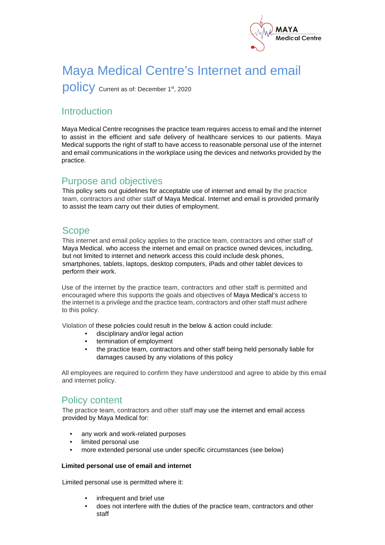

# Maya Medical Centre's Internet and email

policy Current as of: December 1st, 2020

# Introduction

Maya Medical Centre recognises the practice team requires access to email and the internet to assist in the efficient and safe delivery of healthcare services to our patients. Maya Medical supports the right of staff to have access to reasonable personal use of the internet and email communications in the workplace using the devices and networks provided by the practice.

#### Purpose and objectives

This policy sets out guidelines for acceptable use of internet and email by the practice team, contractors and other staff of Maya Medical. Internet and email is provided primarily to assist the team carry out their duties of employment.

## Scope

This internet and email policy applies to the practice team, contractors and other staff of Maya Medical. who access the internet and email on practice owned devices, including, but not limited to internet and network access this could include desk phones, smartphones, tablets, laptops, desktop computers, iPads and other tablet devices to perform their work.

Use of the internet by the practice team, contractors and other staff is permitted and encouraged where this supports the goals and objectives of Maya Medical's access to the internet is a privilege and the practice team, contractors and other staff must adhere to this policy.

Violation of these policies could result in the below & action could include:

- disciplinary and/or legal action
- termination of employment
- the practice team, contractors and other staff being held personally liable for damages caused by any violations of this policy

All employees are required to confirm they have understood and agree to abide by this email and internet policy.

## Policy content

The practice team, contractors and other staff may use the internet and email access provided by Maya Medical for:

- any work and work-related purposes
- limited personal use
- more extended personal use under specific circumstances (see below)

#### **Limited personal use of email and internet**

Limited personal use is permitted where it:

- infrequent and brief use
- does not interfere with the duties of the practice team, contractors and other staff